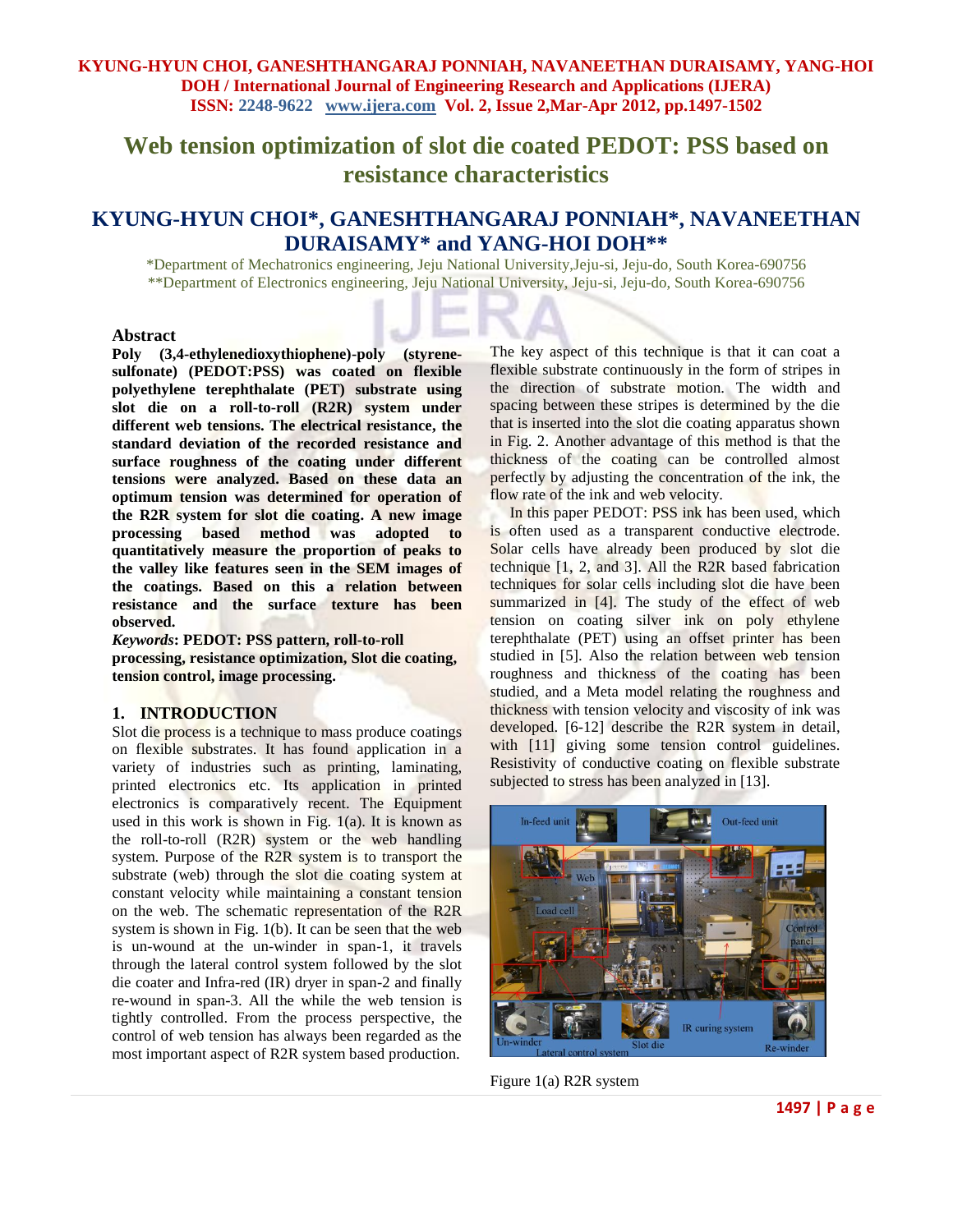**Web tension optimization of slot die coated PEDOT: PSS based on resistance characteristics**

# **KYUNG-HYUN CHOI\*, GANESHTHANGARAJ PONNIAH\*, NAVANEETHAN DURAISAMY\* and YANG-HOI DOH\*\***

\*Department of Mechatronics engineering, Jeju National University,Jeju-si, Jeju-do, South Korea-690756 \*\*Department of Electronics engineering, Jeju National University, Jeju-si, Jeju-do, South Korea-690756

#### **Abstract**

**Poly (3,4-ethylenedioxythiophene)-poly (styrenesulfonate) (PEDOT:PSS) was coated on flexible polyethylene terephthalate (PET) substrate using slot die on a roll-to-roll (R2R) system under different web tensions. The electrical resistance, the standard deviation of the recorded resistance and surface roughness of the coating under different tensions were analyzed. Based on these data an optimum tension was determined for operation of the R2R system for slot die coating. A new image processing based method was adopted to quantitatively measure the proportion of peaks to the valley like features seen in the SEM images of the coatings. Based on this a relation between resistance and the surface texture has been observed.**

*Keywords***: PEDOT: PSS pattern, roll-to-roll processing, resistance optimization, Slot die coating, tension control, image processing.**

#### **1. INTRODUCTION**

Slot die process is a technique to mass produce coatings on flexible substrates. It has found application in a variety of industries such as printing, laminating, printed electronics etc. Its application in printed electronics is comparatively recent. The Equipment used in this work is shown in Fig.  $1(a)$ . It is known as the roll-to-roll (R2R) system or the web handling system. Purpose of the R2R system is to transport the substrate (web) through the slot die coating system at constant velocity while maintaining a constant tension on the web. The schematic representation of the R2R system is shown in Fig. 1(b). It can be seen that the web is un-wound at the un-winder in span-1, it travels through the lateral control system followed by the slot die coater and Infra-red (IR) dryer in span-2 and finally re-wound in span-3. All the while the web tension is tightly controlled. From the process perspective, the control of web tension has always been regarded as the most important aspect of R2R system based production.

The key aspect of this technique is that it can coat a flexible substrate continuously in the form of stripes in the direction of substrate motion. The width and spacing between these stripes is determined by the die that is inserted into the slot die coating apparatus shown in Fig. 2. Another advantage of this method is that the thickness of the coating can be controlled almost perfectly by adjusting the concentration of the ink, the flow rate of the ink and web velocity.

In this paper PEDOT: PSS ink has been used, which is often used as a transparent conductive electrode. Solar cells have already been produced by slot die technique [1, 2, and 3]. All the R2R based fabrication techniques for solar cells including slot die have been summarized in [4]. The study of the effect of web tension on coating silver ink on poly ethylene terephthalate (PET) using an offset printer has been studied in [5]. Also the relation between web tension roughness and thickness of the coating has been studied, and a Meta model relating the roughness and thickness with tension velocity and viscosity of ink was developed. [6-12] describe the R2R system in detail, with [11] giving some tension control guidelines. Resistivity of conductive coating on flexible substrate subjected to stress has been analyzed in [13].



Figure 1(a) R2R system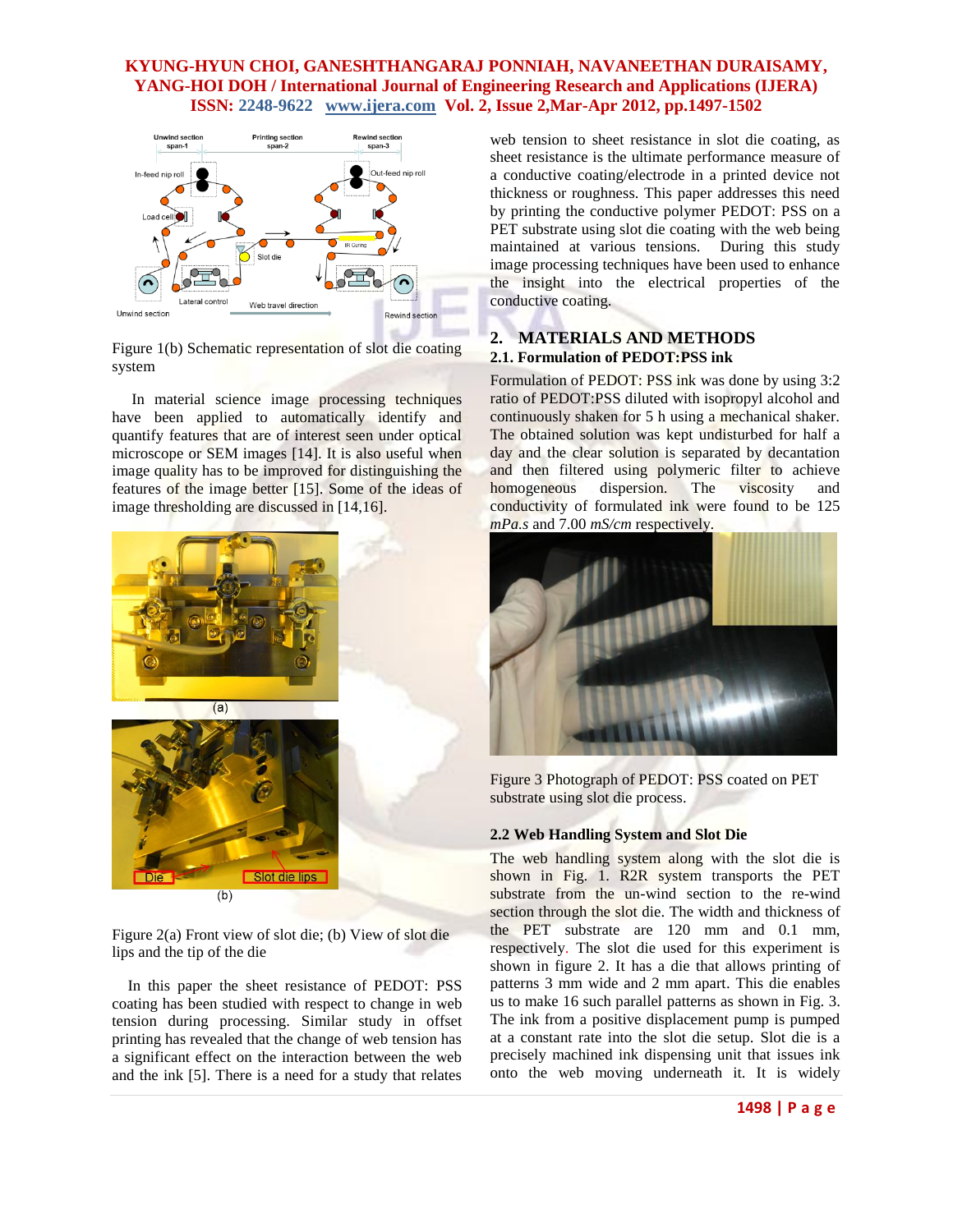

Figure 1(b) Schematic representation of slot die coating system

 In material science image processing techniques have been applied to automatically identify and quantify features that are of interest seen under optical microscope or SEM images [14]. It is also useful when image quality has to be improved for distinguishing the features of the image better [15]. Some of the ideas of image thresholding are discussed in [14,16].



Figure 2(a) Front view of slot die; (b) View of slot die lips and the tip of the die

 In this paper the sheet resistance of PEDOT: PSS coating has been studied with respect to change in web tension during processing. Similar study in offset printing has revealed that the change of web tension has a significant effect on the interaction between the web and the ink [5]. There is a need for a study that relates web tension to sheet resistance in slot die coating, as sheet resistance is the ultimate performance measure of a conductive coating/electrode in a printed device not thickness or roughness. This paper addresses this need by printing the conductive polymer PEDOT: PSS on a PET substrate using slot die coating with the web being maintained at various tensions. During this study image processing techniques have been used to enhance the insight into the electrical properties of the conductive coating.

## **2. MATERIALS AND METHODS 2.1. Formulation of PEDOT:PSS ink**

Formulation of PEDOT: PSS ink was done by using 3:2 ratio of PEDOT:PSS diluted with isopropyl alcohol and continuously shaken for 5 h using a mechanical shaker. The obtained solution was kept undisturbed for half a day and the clear solution is separated by decantation and then filtered using polymeric filter to achieve homogeneous dispersion. The viscosity and conductivity of formulated ink were found to be 125 *mPa.s* and 7.00 *mS/cm* respectively.



Figure 3 Photograph of PEDOT: PSS coated on PET substrate using slot die process.

### **2.2 Web Handling System and Slot Die**

The web handling system along with the slot die is shown in Fig. 1. R2R system transports the PET substrate from the un-wind section to the re-wind section through the slot die. The width and thickness of the PET substrate are 120 mm and 0.1 mm, respectively. The slot die used for this experiment is shown in figure 2. It has a die that allows printing of patterns 3 mm wide and 2 mm apart. This die enables us to make 16 such parallel patterns as shown in Fig. 3. The ink from a positive displacement pump is pumped at a constant rate into the slot die setup. Slot die is a precisely machined ink dispensing unit that issues ink onto the web moving underneath it. It is widely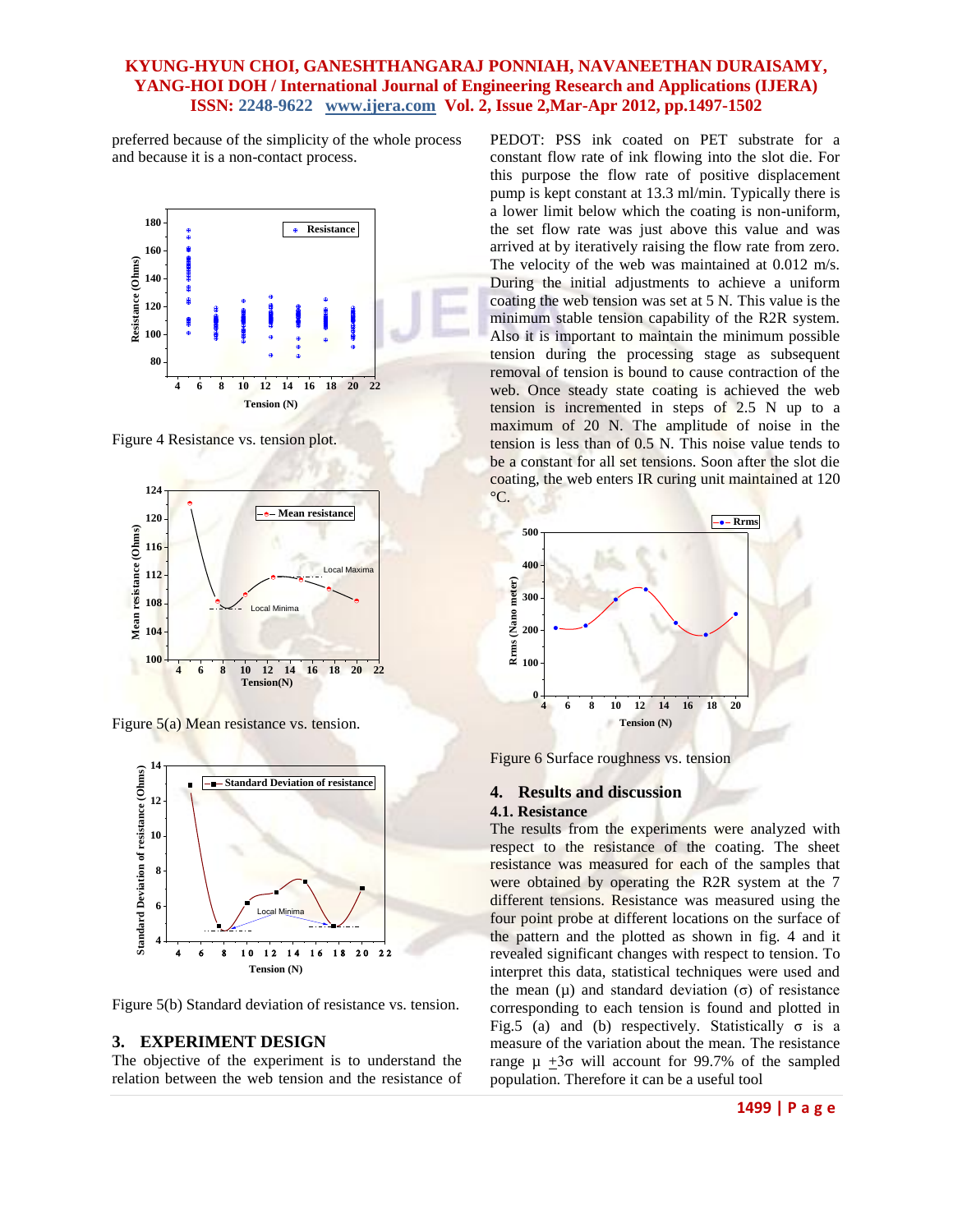preferred because of the simplicity of the whole process and because it is a non-contact process.



Figure 4 Resistance vs. tension plot.



Figure 5(a) Mean resistance vs. tension.



Figure 5(b) Standard deviation of resistance vs. tension.

#### **3. EXPERIMENT DESIGN**

The objective of the experiment is to understand the relation between the web tension and the resistance of

PEDOT: PSS ink coated on PET substrate for a constant flow rate of ink flowing into the slot die. For this purpose the flow rate of positive displacement pump is kept constant at 13.3 ml/min*.* Typically there is a lower limit below which the coating is non-uniform, the set flow rate was just above this value and was arrived at by iteratively raising the flow rate from zero. The velocity of the web was maintained at 0.012 m/s*.*  During the initial adjustments to achieve a uniform coating the web tension was set at 5 N. This value is the minimum stable tension capability of the R2R system. Also it is important to maintain the minimum possible tension during the processing stage as subsequent removal of tension is bound to cause contraction of the web. Once steady state coating is achieved the web tension is incremented in steps of 2.5 N up to a maximum of 20 N. The amplitude of noise in the tension is less than of 0.5 N. This noise value tends to be a constant for all set tensions. Soon after the slot die coating, the web enters IR curing unit maintained at 120  $\mathrm{C}$ .



Figure 6 Surface roughness vs. tension

#### **4. Results and discussion 4.1. Resistance**

The results from the experiments were analyzed with respect to the resistance of the coating. The sheet resistance was measured for each of the samples that were obtained by operating the R2R system at the 7 different tensions. Resistance was measured using the four point probe at different locations on the surface of the pattern and the plotted as shown in fig. 4 and it revealed significant changes with respect to tension. To interpret this data, statistical techniques were used and the mean (μ) and standard deviation (σ) of resistance corresponding to each tension is found and plotted in Fig.5 (a) and (b) respectively. Statistically  $\sigma$  is a measure of the variation about the mean. The resistance range μ  $\pm 3\sigma$  will account for 99.7% of the sampled population. Therefore it can be a useful tool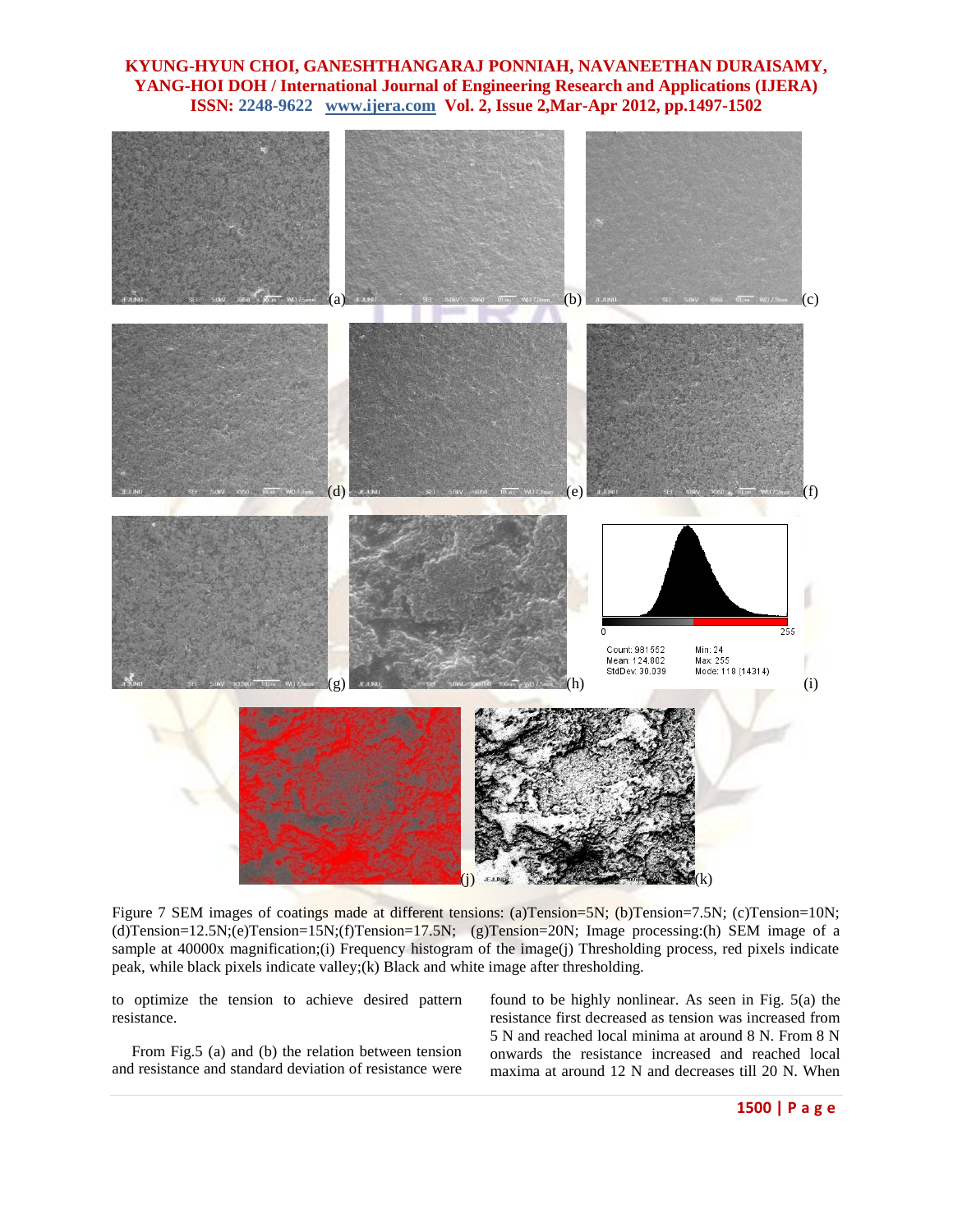

Figure 7 SEM images of coatings made at different tensions: (a)Tension=5N; (b)Tension=7.5N; (c)Tension=10N; (d)Tension=12.5N;(e)Tension=15N;(f)Tension=17.5N; (g)Tension=20N; Image processing:(h) SEM image of a sample at 40000x magnification;(i) Frequency histogram of the image(j) Thresholding process, red pixels indicate peak, while black pixels indicate valley;(k) Black and white image after thresholding.

to optimize the tension to achieve desired pattern resistance.

 From Fig.5 (a) and (b) the relation between tension and resistance and standard deviation of resistance were

found to be highly nonlinear. As seen in Fig. 5(a) the resistance first decreased as tension was increased from 5 N and reached local minima at around 8 N. From 8 N onwards the resistance increased and reached local maxima at around 12 N and decreases till 20 N. When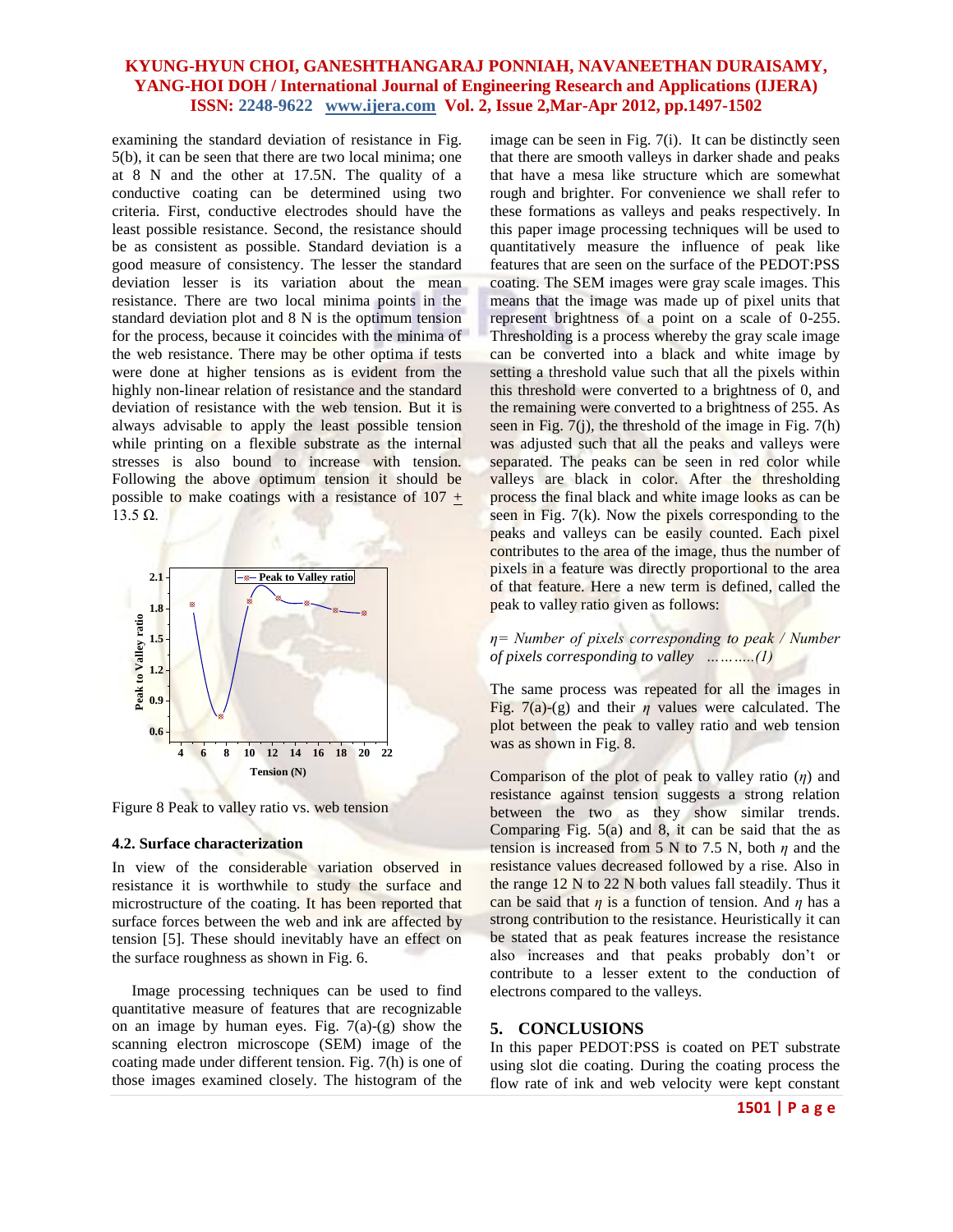examining the standard deviation of resistance in Fig. 5(b), it can be seen that there are two local minima; one at 8 N and the other at 17.5N. The quality of a conductive coating can be determined using two criteria. First, conductive electrodes should have the least possible resistance. Second, the resistance should be as consistent as possible. Standard deviation is a good measure of consistency. The lesser the standard deviation lesser is its variation about the mean resistance. There are two local minima points in the standard deviation plot and 8 N is the optimum tension for the process, because it coincides with the minima of the web resistance. There may be other optima if tests were done at higher tensions as is evident from the highly non-linear relation of resistance and the standard deviation of resistance with the web tension. But it is always advisable to apply the least possible tension while printing on a flexible substrate as the internal stresses is also bound to increase with tension. Following the above optimum tension it should be possible to make coatings with a resistance of  $107 +$  $13.5$  Ω.



Figure 8 Peak to valley ratio vs. web tension

#### **4.2. Surface characterization**

In view of the considerable variation observed in resistance it is worthwhile to study the surface and microstructure of the coating. It has been reported that surface forces between the web and ink are affected by tension [5]. These should inevitably have an effect on the surface roughness as shown in Fig. 6.

 Image processing techniques can be used to find quantitative measure of features that are recognizable on an image by human eyes. Fig.  $7(a)-(g)$  show the scanning electron microscope (SEM) image of the coating made under different tension. Fig. 7(h) is one of those images examined closely. The histogram of the

image can be seen in Fig. 7(i). It can be distinctly seen that there are smooth valleys in darker shade and peaks that have a mesa like structure which are somewhat rough and brighter. For convenience we shall refer to these formations as valleys and peaks respectively. In this paper image processing techniques will be used to quantitatively measure the influence of peak like features that are seen on the surface of the PEDOT:PSS coating. The SEM images were gray scale images. This means that the image was made up of pixel units that represent brightness of a point on a scale of 0-255. Thresholding is a process whereby the gray scale image can be converted into a black and white image by setting a threshold value such that all the pixels within this threshold were converted to a brightness of 0, and the remaining were converted to a brightness of 255. As seen in Fig. 7(j), the threshold of the image in Fig. 7(h) was adjusted such that all the peaks and valleys were separated. The peaks can be seen in red color while valleys are black in color. After the thresholding process the final black and white image looks as can be seen in Fig. 7(k). Now the pixels corresponding to the peaks and valleys can be easily counted. Each pixel contributes to the area of the image, thus the number of pixels in a feature was directly proportional to the area of that feature. Here a new term is defined, called the peak to valley ratio given as follows:

### *η= Number of pixels corresponding to peak / Number of pixels corresponding to valley ………..(1)*

The same process was repeated for all the images in Fig. 7(a)-(g) and their  $\eta$  values were calculated. The plot between the peak to valley ratio and web tension was as shown in Fig. 8.

Comparison of the plot of peak to valley ratio (*η*) and resistance against tension suggests a strong relation between the two as they show similar trends. Comparing Fig.  $5(a)$  and 8, it can be said that the as tension is increased from 5 N to 7.5 N, both *η* and the resistance values decreased followed by a rise. Also in the range 12 N to 22 N both values fall steadily. Thus it can be said that *η* is a function of tension. And *η* has a strong contribution to the resistance. Heuristically it can be stated that as peak features increase the resistance also increases and that peaks probably don't or contribute to a lesser extent to the conduction of electrons compared to the valleys.

#### **5. CONCLUSIONS**

In this paper PEDOT:PSS is coated on PET substrate using slot die coating. During the coating process the flow rate of ink and web velocity were kept constant